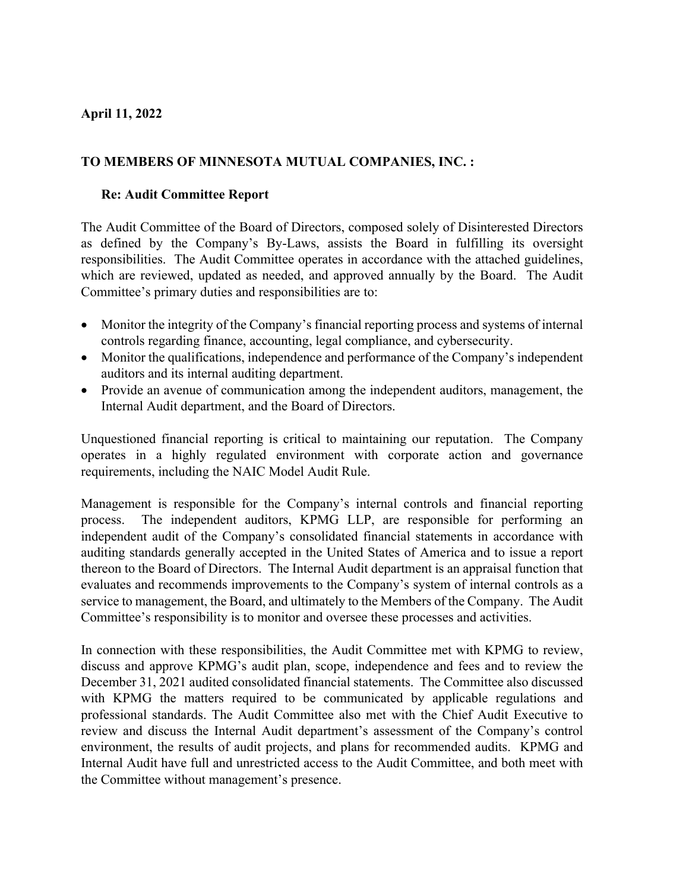## **April 11, 2022**

## **TO MEMBERS OF MINNESOTA MUTUAL COMPANIES, INC. :**

## **Re: Audit Committee Report**

The Audit Committee of the Board of Directors, composed solely of Disinterested Directors as defined by the Company's By-Laws, assists the Board in fulfilling its oversight responsibilities. The Audit Committee operates in accordance with the attached guidelines, which are reviewed, updated as needed, and approved annually by the Board. The Audit Committee's primary duties and responsibilities are to:

- Monitor the integrity of the Company's financial reporting process and systems of internal controls regarding finance, accounting, legal compliance, and cybersecurity.
- Monitor the qualifications, independence and performance of the Company's independent auditors and its internal auditing department.
- Provide an avenue of communication among the independent auditors, management, the Internal Audit department, and the Board of Directors.

Unquestioned financial reporting is critical to maintaining our reputation. The Company operates in a highly regulated environment with corporate action and governance requirements, including the NAIC Model Audit Rule.

Management is responsible for the Company's internal controls and financial reporting process. The independent auditors, KPMG LLP, are responsible for performing an independent audit of the Company's consolidated financial statements in accordance with auditing standards generally accepted in the United States of America and to issue a report thereon to the Board of Directors. The Internal Audit department is an appraisal function that evaluates and recommends improvements to the Company's system of internal controls as a service to management, the Board, and ultimately to the Members of the Company. The Audit Committee's responsibility is to monitor and oversee these processes and activities.

In connection with these responsibilities, the Audit Committee met with KPMG to review, discuss and approve KPMG's audit plan, scope, independence and fees and to review the December 31, 2021 audited consolidated financial statements. The Committee also discussed with KPMG the matters required to be communicated by applicable regulations and professional standards. The Audit Committee also met with the Chief Audit Executive to review and discuss the Internal Audit department's assessment of the Company's control environment, the results of audit projects, and plans for recommended audits. KPMG and Internal Audit have full and unrestricted access to the Audit Committee, and both meet with the Committee without management's presence.